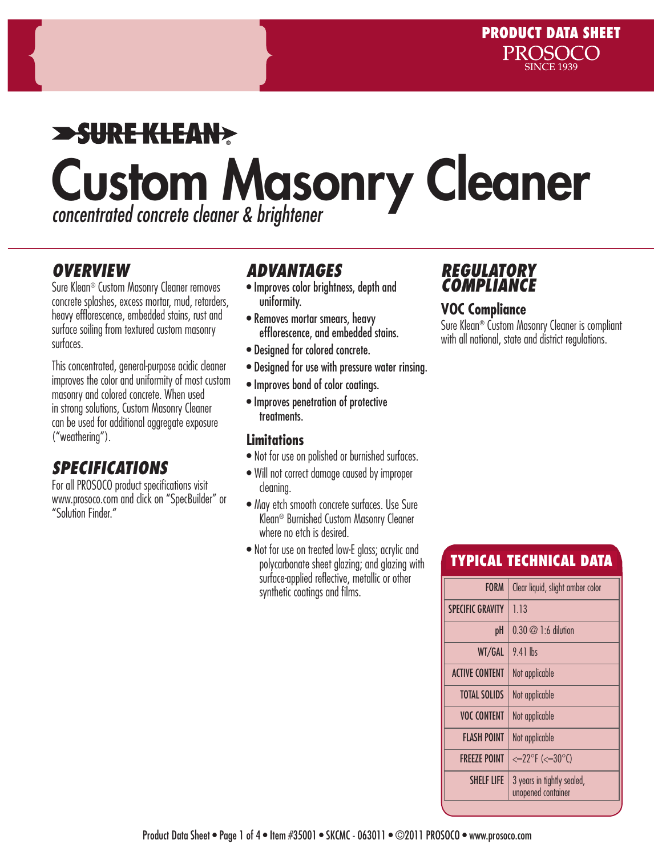# $\blacktriangleright$ SUREKLEAN $\blacktriangleright$ Custom Masonry Cleaner *concentrated concrete cleaner & brightener*

### *OVERVIEW*

Sure Klean® Custom Masonry Cleaner removes concrete splashes, excess mortar, mud, retarders, heavy efflorescence, embedded stains, rust and surface soiling from textured custom masonry surfaces.

This concentrated, general-purpose acidic cleaner improves the color and uniformity of most custom masonry and colored concrete. When used in strong solutions, Custom Masonry Cleaner can be used for additional aggregate exposure ("weathering").

# *SPECIFICATIONS*

For all PROSOCO product specifications visit www.prosoco.com and click on "SpecBuilder" or "Solution Finder."

### *ADVANTAGES*

- Improves color brightness, depth and uniformity.
- Removes mortar smears, heavy efflorescence, and embedded stains.
- Designed for colored concrete.
- Designed for use with pressure water rinsing.
- Improves bond of color coatings.
- Improves penetration of protective treatments.

#### **Limitations**

- Not for use on polished or burnished surfaces.
- Will not correct damage caused by improper cleaning.
- May etch smooth concrete surfaces. Use Sure Klean® Burnished Custom Masonry Cleaner where no etch is desired.
- Not for use on treated low-E glass; acrylic and polycarbonate sheet glazing; and glazing with surface-applied reflective, metallic or other synthetic coatings and films.

## *REGULATORY COMPLIANCE*

#### **VOC Compliance**

Sure Klean® Custom Masonry Cleaner is compliant with all national, state and district regulations.

# TYPICAL TECHNICAL DATA

| <b>FORM</b>             | Clear liquid, slight amber color                 |  |  |
|-------------------------|--------------------------------------------------|--|--|
| <b>SPECIFIC GRAVITY</b> | 1.13                                             |  |  |
| рH                      | $0.30 \oslash 1:6$ dilution                      |  |  |
| WT/GAL                  | $9.41$ lbs                                       |  |  |
| <b>ACTIVE CONTENT</b>   | Not applicable                                   |  |  |
| <b>TOTAL SOLIDS</b>     | Not applicable                                   |  |  |
| <b>VOC CONTENT</b>      | Not applicable                                   |  |  |
| FLASH POINT             | Not applicable                                   |  |  |
| <b>FREEZE POINT</b>     | $<-22^{\circ}F$ (< $-30^{\circ}C$ )              |  |  |
| <b>SHELF LIFE</b>       | 3 years in tightly sealed,<br>unopened container |  |  |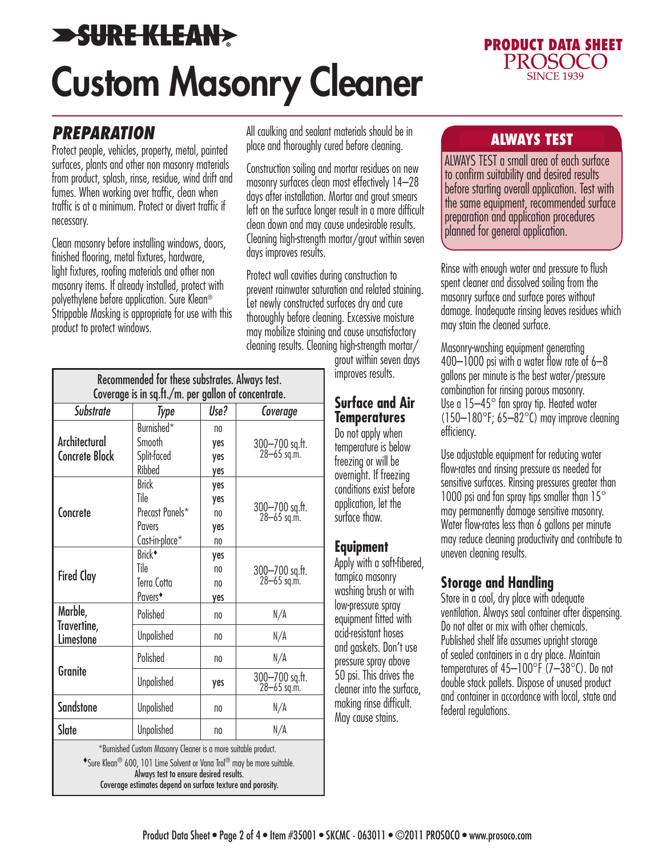# **>SURE KLEAN>** Custom Masonry Cleaner



# *PREPARATION*

Protect people, vehicles, property, metal, painted surfaces, plants and other non masonry materials from product, splash, rinse, residue, wind drift and fumes. When working over traffic, clean when traffic is at a minimum. Protect or divert traffic if necessary.

Clean masonry before installing windows, doors, finished flooring, metal fixtures, hardware, light fixtures, roofing materials and other non masonry items. If already installed, protect with polyethylene before application. Sure Klean® Strippable Masking is appropriate for use with this product to protect windows.

All caulking and sealant materials should be in<br>also and thereughly cured before cleaning place and thoroughly cured before cleaning.

Construction soiling and mortar residues on new masonry surfaces clean most effectively 14–28 days after installation. Mortar and grout smears left on the surface longer result in a more difficult clean down and may cause undesirable results. Cleaning high-strength mortar/grout within seven days improves results.

Protect wall cavities during construction to prevent rainwater saturation and related staining. Let newly constructed surfaces dry and cure thoroughly before cleaning. Excessive moisture may mobilize staining and cause unsatisfactory cleaning results. Cleaning high-strength mortar/

grout within seven days improves results.

#### **Surface and Air Temperatures**

Do not apply when temperature is below freezing or will be overnight. If freezing conditions exist before application, let the surface thaw.

#### **Equipment**

Apply with a soft-fibered, tampico masonry washing brush or with low-pressure spray equipment fitted with acid-resistant hoses and gaskets. Don't use pressure spray above 50 psi. This drives the cleaner into the surface, making rinse difficult. May cause stains.

ALWAYS TEST a small area of each surface to confirm suitability and desired results before starting overall application. Test with the same equipment, recommended surface preparation and application procedures planned for general application.

Rinse with enough water and pressure to flush spent cleaner and dissolved soiling from the masonry surface and surface pores without damage. Inadequate rinsing leaves residues which may stain the cleaned surface.

Masonry-washing equipment generating 400–1000 psi with a water flow rate of 6–8 gallons per minute is the best water/pressure combination for rinsing porous masonry. Use a 15–45° fan spray tip. Heated water  $(150-180^{\circ}$ F; 65–82 $^{\circ}$ C) may improve cleaning efficiency.

Use adjustable equipment for reducing water flow-rates and rinsing pressure as needed for sensitive surfaces. Rinsing pressures greater than 1000 psi and fan spray tips smaller than 15° may permanently damage sensitive masonry. Water flow-rates less than 6 gallons per minute may reduce cleaning productivity and contribute to uneven cleaning results.

#### **Storage and Handling**

Store in a cool, dry place with adequate ventilation. Always seal container after dispensing. Do not alter or mix with other chemicals. Published shelf life assumes upright storage of sealed containers in a dry place. Maintain temperatures of 45–100°F (7–38°C). Do not double stack pallets. Dispose of unused product and container in accordance with local, state and federal regulations.

| Recommended for these substrates. Always test.<br>Coverage is in sq.ft./m. per gallon of concentrate. |                                                                                                                                                                                                |                |                                   |  |
|-------------------------------------------------------------------------------------------------------|------------------------------------------------------------------------------------------------------------------------------------------------------------------------------------------------|----------------|-----------------------------------|--|
|                                                                                                       |                                                                                                                                                                                                |                |                                   |  |
| Architectural<br><b>Concrete Block</b>                                                                | Burnished*                                                                                                                                                                                     | n <sub>0</sub> | 300-700 sq.ft.<br>28-65 sq.m.     |  |
|                                                                                                       | Smooth                                                                                                                                                                                         | yes            |                                   |  |
|                                                                                                       | Split-faced                                                                                                                                                                                    | yes            |                                   |  |
|                                                                                                       | Ribbed                                                                                                                                                                                         | yes            |                                   |  |
| Concrete                                                                                              | <b>Brick</b>                                                                                                                                                                                   | yes            |                                   |  |
|                                                                                                       | Tile                                                                                                                                                                                           | yes            |                                   |  |
|                                                                                                       | Precast Panels*                                                                                                                                                                                | n <sub>0</sub> | 300-700 sq.ft.<br>28-65 sq.m.     |  |
|                                                                                                       | Pavers                                                                                                                                                                                         | yes            |                                   |  |
|                                                                                                       | Cast-in-place*                                                                                                                                                                                 | n <sub>0</sub> |                                   |  |
| <b>Fired Clay</b>                                                                                     | Brick <sup>+</sup>                                                                                                                                                                             | yes            |                                   |  |
|                                                                                                       | Tile                                                                                                                                                                                           | no             | 300-700 sq.ft.<br>28-65 sq.m.     |  |
|                                                                                                       | Terra Cotta                                                                                                                                                                                    | no             |                                   |  |
|                                                                                                       | Pavers <sup>*</sup>                                                                                                                                                                            | yes            |                                   |  |
| Marble,                                                                                               | Polished                                                                                                                                                                                       | n <sub>0</sub> | N/A                               |  |
| Travertine,<br><b>Limestone</b>                                                                       | Unpolished                                                                                                                                                                                     | n <sub>0</sub> | N/A                               |  |
| <b>Granite</b>                                                                                        | Polished                                                                                                                                                                                       | n <sub>0</sub> | N/A                               |  |
|                                                                                                       | <b>Unpolished</b>                                                                                                                                                                              | yes            | 300-700 sq.ft.<br>$28 - 65$ sq.m. |  |
| <b>Sandstone</b>                                                                                      | Unpolished                                                                                                                                                                                     | n <sub>0</sub> | N/A                               |  |
| Slate                                                                                                 | Unpolished                                                                                                                                                                                     | n <sub>0</sub> | N/A                               |  |
|                                                                                                       | *Burnished Custom Masonry Cleaner is a more suitable product.<br>$\bullet$ Cure Vlaga $\textcircled{}$ /00 $\textcircled{}$ 101 Line Calvent or Vana Lul $\textcircled{}$ may be may a witchle |                |                                   |  |

 $^{\prime}$  600, 101 Lime Solvent or Vana Trol $^{\circ\circ}$  may be more suitable Always test to ensure desired results. Coverage estimates depend on surface texture and porosity.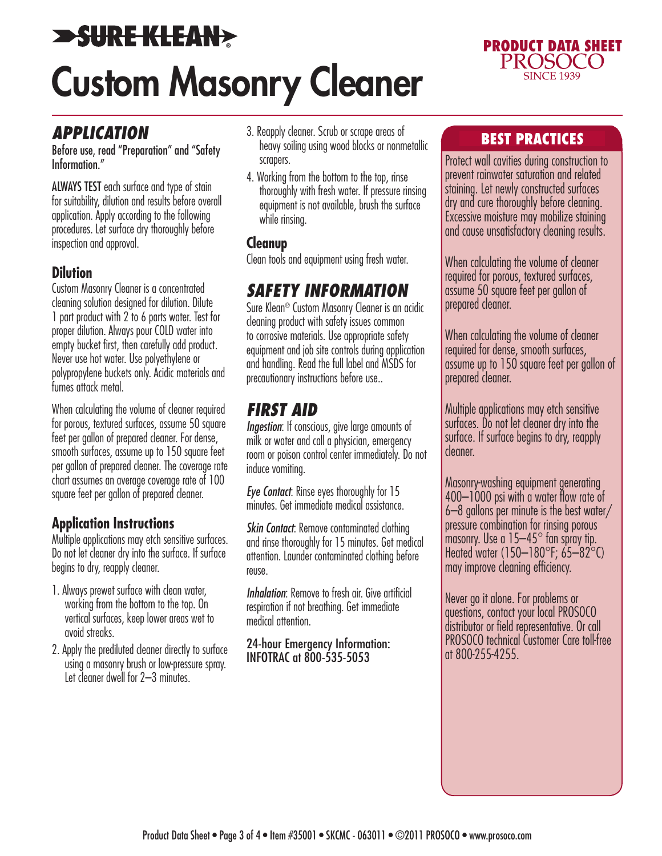# **>SURE KLEAN>** Custom Masonry Cleaner



# *APPLICATION*

Before use, read "Preparation" and "Safety Information."

ALWAYS TEST each surface and type of stain for suitability, dilution and results before overall application. Apply according to the following procedures. Let surface dry thoroughly before inspection and approval.

#### **Dilution**

Custom Masonry Cleaner is a concentrated cleaning solution designed for dilution. Dilute 1 part product with 2 to 6 parts water. Test for proper dilution. Always pour COLD water into empty bucket first, then carefully add product. Never use hot water. Use polyethylene or polypropylene buckets only. Acidic materials and fumes attack metal.

When calculating the volume of cleaner required for porous, textured surfaces, assume 50 square feet per gallon of prepared cleaner. For dense, smooth surfaces, assume up to 150 square feet per gallon of prepared cleaner. The coverage rate chart assumes an average coverage rate of 100 square feet per gallon of prepared cleaner.

### **Application Instructions**

Multiple applications may etch sensitive surfaces. Do not let cleaner dry into the surface. If surface begins to dry, reapply cleaner.

- 1. Always prewet surface with clean water, working from the bottom to the top. On vertical surfaces, keep lower areas wet to avoid streaks.
- 2. Apply the prediluted cleaner directly to surface using a masonry brush or low-pressure spray. Let cleaner dwell for 2–3 minutes.
- 3. Reapply cleaner. Scrub or scrape areas of heavy soiling using wood blocks or nonmetallic scrapers.
- 4. Working from the bottom to the top, rinse thoroughly with fresh water. If pressure rinsing equipment is not available, brush the surface while rinsing.

#### **Cleanup**

Clean tools and equipment using fresh water.

# *SAFETY INFORMATION*

Sure Klean® Custom Masonry Cleaner is an acidic cleaning product with safety issues common to corrosive materials. Use appropriate safety equipment and job site controls during application and handling. Read the full label and MSDS for precautionary instructions before use..

# *FIRST AID*

*Ingestion*: If conscious, give large amounts of milk or water and call a physician, emergency room or poison control center immediately. Do not induce vomiting.

*Eye Contact*: Rinse eyes thoroughly for 15 minutes. Get immediate medical assistance.

*Skin Contact:* Remove contaminated clothing and rinse thoroughly for 15 minutes. Get medical attention. Launder contaminated clothing before reuse.

*Inhalation:* Remove to fresh air. Give artificial respiration if not breathing. Get immediate medical attention.

24-hour Emergency Information: INFOTRAC at 800-535-5053

#### BEST PRACTICES

Protect wall cavities during construction to prevent rainwater saturation and related staining. Let newly constructed surfaces dry and cure thoroughly before cleaning. Excessive moisture may mobilize staining and cause unsatisfactory cleaning results.

When calculating the volume of cleaner required for porous, textured surfaces, assume 50 square feet per gallon of prepared cleaner.

When calculating the volume of cleaner required for dense, smooth surfaces, assume up to 150 square feet per gallon of prepared cleaner.

Multiple applications may etch sensitive surfaces. Do not let cleaner dry into the surface. If surface begins to dry, reapply cleaner.

Masonry-washing equipment generating 400–1000 psi with a water flow rate of 6–8 gallons per minute is the best water/ pressure combination for rinsing porous masonry. Use a 15–45° fan spray tip. Heated water (150–180°F; 65–82°C) may improve cleaning efficiency.

Never go it alone. For problems or questions, contact your local PROSOCO distributor or field representative. Or call PROSOCO technical Customer Care toll-free at 800-255-4255.